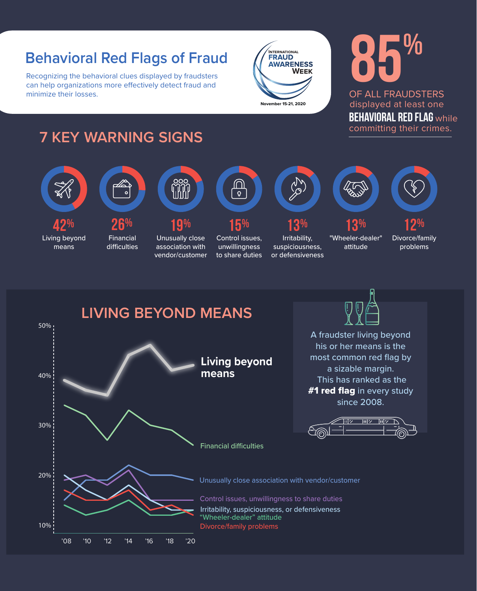#### **Behavioral Red Flags of Fraud**

Recognizing the behavioral clues displayed by fraudsters can help organizations more effectively detect fraud and minimize their losses.



# **85%**

**behavioral red flag** while committing their crimes. displayed at least one OF ALL FRAUDSTERS

#### **7 KEY WARNING SIGNS**